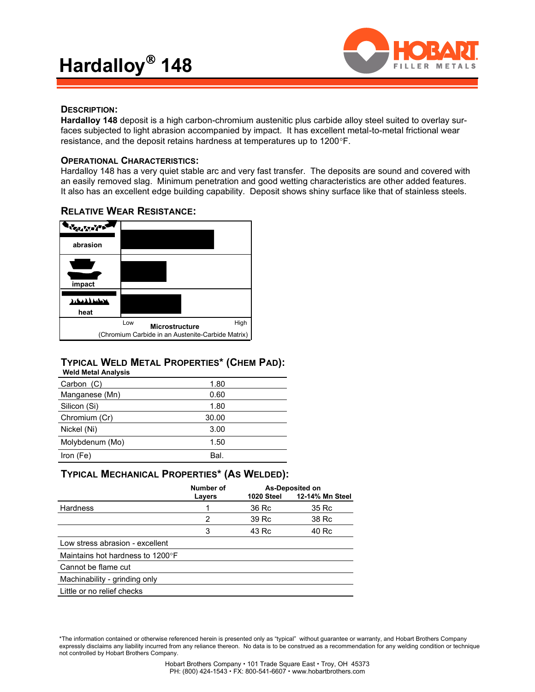

### **DESCRIPTION:**

**Hardalloy 148** deposit is a high carbon-chromium austenitic plus carbide alloy steel suited to overlay surfaces subjected to light abrasion accompanied by impact. It has excellent metal-to-metal frictional wear resistance, and the deposit retains hardness at temperatures up to 1200°F.

### **OPERATIONAL CHARACTERISTICS:**

Hardalloy 148 has a very quiet stable arc and very fast transfer. The deposits are sound and covered with an easily removed slag. Minimum penetration and good wetting characteristics are other added features. It also has an excellent edge building capability. Deposit shows shiny surface like that of stainless steels.

# **ANGLAND AND abrasion impact سىنىلىنى heat** Low High **Microstructure** (Chromium Carbide in an Austenite-Carbide Matrix)

## **RELATIVE WEAR RESISTANCE:**

### **TYPICAL WELD METAL PROPERTIES\* (CHEM PAD): Weld Metal Analysis**

| Carbon (C)      | 1.80  |  |
|-----------------|-------|--|
| Manganese (Mn)  | 0.60  |  |
| Silicon (Si)    | 1.80  |  |
| Chromium (Cr)   | 30.00 |  |
| Nickel (Ni)     | 3.00  |  |
| Molybdenum (Mo) | 1.50  |  |
| Iron (Fe)       | Bal.  |  |

### **TYPICAL MECHANICAL PROPERTIES\* (AS WELDED):**

|                                  | Number of<br>Layers | 1020 Steel | <b>As-Deposited on</b><br>12-14% Mn Steel |
|----------------------------------|---------------------|------------|-------------------------------------------|
| Hardness                         |                     | 36 Rc      | 35 Rc                                     |
|                                  | 2                   | 39 Rc      | 38 Rc                                     |
|                                  | 3                   | 43 Rc      | 40 Rc                                     |
| Low stress abrasion - excellent  |                     |            |                                           |
| Maintains hot hardness to 1200°F |                     |            |                                           |
| Cannot be flame cut              |                     |            |                                           |
| Machinability - grinding only    |                     |            |                                           |
| Little or no relief checks       |                     |            |                                           |

\*The information contained or otherwise referenced herein is presented only as "typical" without guarantee or warranty, and Hobart Brothers Company expressly disclaims any liability incurred from any reliance thereon. No data is to be construed as a recommendation for any welding condition or technique not controlled by Hobart Brothers Company.